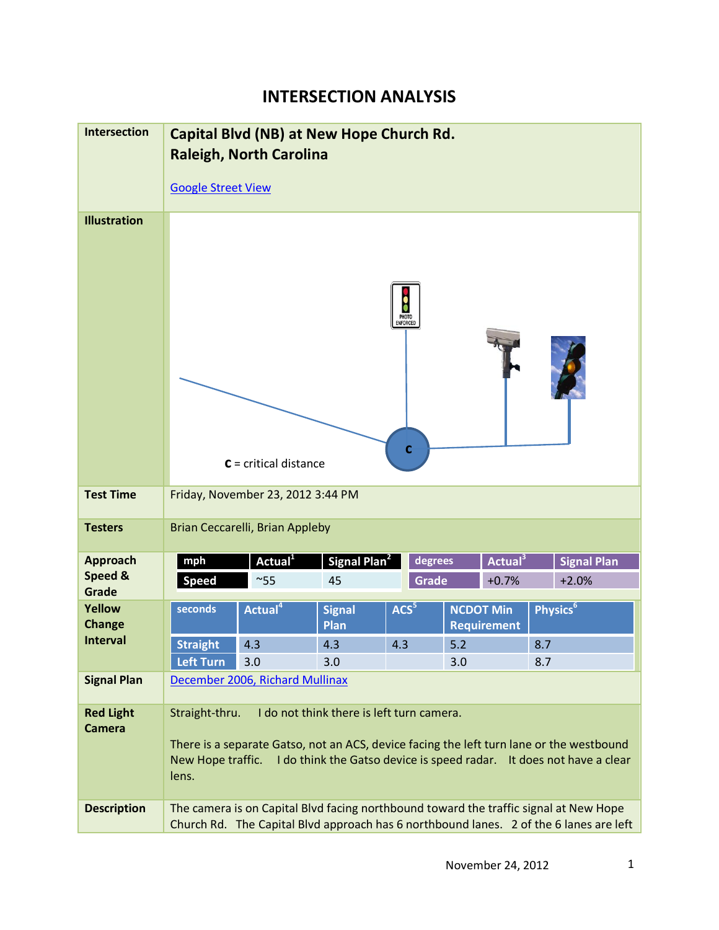## **INTERSECTION ANALYSIS**

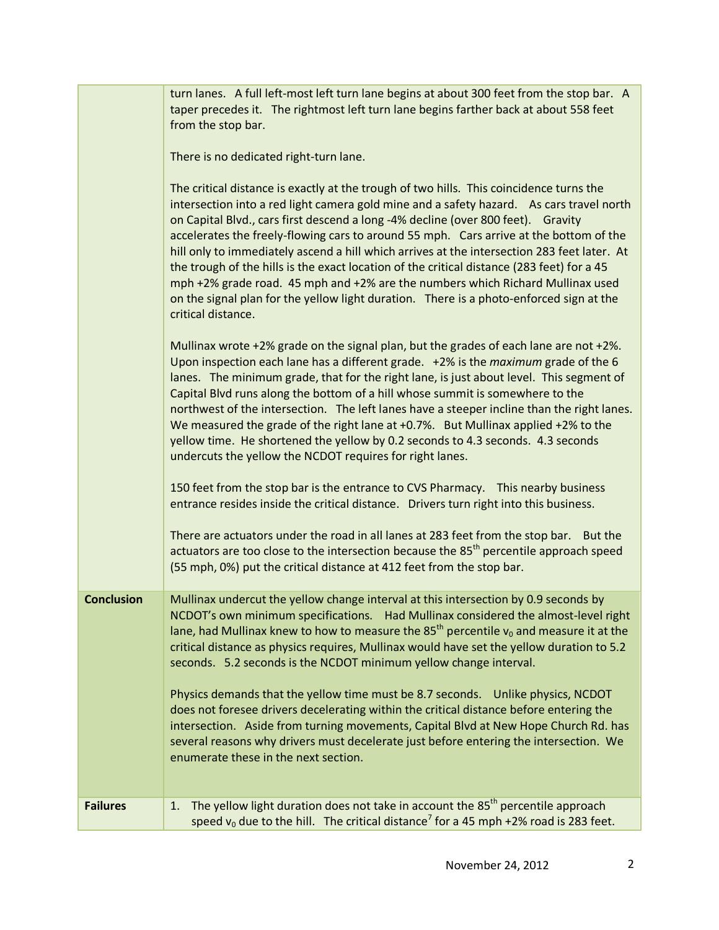|                   | turn lanes. A full left-most left turn lane begins at about 300 feet from the stop bar. A<br>taper precedes it. The rightmost left turn lane begins farther back at about 558 feet<br>from the stop bar.<br>There is no dedicated right-turn lane.<br>The critical distance is exactly at the trough of two hills. This coincidence turns the<br>intersection into a red light camera gold mine and a safety hazard. As cars travel north<br>on Capital Blvd., cars first descend a long -4% decline (over 800 feet). Gravity<br>accelerates the freely-flowing cars to around 55 mph. Cars arrive at the bottom of the<br>hill only to immediately ascend a hill which arrives at the intersection 283 feet later. At<br>the trough of the hills is the exact location of the critical distance (283 feet) for a 45<br>mph +2% grade road. 45 mph and +2% are the numbers which Richard Mullinax used<br>on the signal plan for the yellow light duration. There is a photo-enforced sign at the<br>critical distance.<br>Mullinax wrote +2% grade on the signal plan, but the grades of each lane are not +2%.<br>Upon inspection each lane has a different grade. +2% is the <i>maximum</i> grade of the 6<br>lanes. The minimum grade, that for the right lane, is just about level. This segment of<br>Capital Blvd runs along the bottom of a hill whose summit is somewhere to the<br>northwest of the intersection. The left lanes have a steeper incline than the right lanes.<br>We measured the grade of the right lane at $+0.7%$ . But Mullinax applied $+2%$ to the<br>yellow time. He shortened the yellow by 0.2 seconds to 4.3 seconds. 4.3 seconds<br>undercuts the yellow the NCDOT requires for right lanes.<br>150 feet from the stop bar is the entrance to CVS Pharmacy. This nearby business<br>entrance resides inside the critical distance. Drivers turn right into this business.<br>There are actuators under the road in all lanes at 283 feet from the stop bar. But the<br>actuators are too close to the intersection because the 85 <sup>th</sup> percentile approach speed<br>(55 mph, 0%) put the critical distance at 412 feet from the stop bar. |
|-------------------|----------------------------------------------------------------------------------------------------------------------------------------------------------------------------------------------------------------------------------------------------------------------------------------------------------------------------------------------------------------------------------------------------------------------------------------------------------------------------------------------------------------------------------------------------------------------------------------------------------------------------------------------------------------------------------------------------------------------------------------------------------------------------------------------------------------------------------------------------------------------------------------------------------------------------------------------------------------------------------------------------------------------------------------------------------------------------------------------------------------------------------------------------------------------------------------------------------------------------------------------------------------------------------------------------------------------------------------------------------------------------------------------------------------------------------------------------------------------------------------------------------------------------------------------------------------------------------------------------------------------------------------------------------------------------------------------------------------------------------------------------------------------------------------------------------------------------------------------------------------------------------------------------------------------------------------------------------------------------------------------------------------------------------------------------------------------------------------------------------------------------------------------------------------------------------------|
| <b>Conclusion</b> | Mullinax undercut the yellow change interval at this intersection by 0.9 seconds by<br>NCDOT's own minimum specifications. Had Mullinax considered the almost-level right<br>lane, had Mullinax knew to how to measure the 85 <sup>th</sup> percentile $v_0$ and measure it at the<br>critical distance as physics requires, Mullinax would have set the yellow duration to 5.2<br>seconds. 5.2 seconds is the NCDOT minimum yellow change interval.<br>Physics demands that the yellow time must be 8.7 seconds.  Unlike physics, NCDOT<br>does not foresee drivers decelerating within the critical distance before entering the<br>intersection. Aside from turning movements, Capital Blvd at New Hope Church Rd. has<br>several reasons why drivers must decelerate just before entering the intersection. We<br>enumerate these in the next section.                                                                                                                                                                                                                                                                                                                                                                                                                                                                                                                                                                                                                                                                                                                                                                                                                                                                                                                                                                                                                                                                                                                                                                                                                                                                                                                             |
| <b>Failures</b>   | The yellow light duration does not take in account the 85 <sup>th</sup> percentile approach<br>1.<br>speed $v_0$ due to the hill. The critical distance <sup>7</sup> for a 45 mph +2% road is 283 feet.                                                                                                                                                                                                                                                                                                                                                                                                                                                                                                                                                                                                                                                                                                                                                                                                                                                                                                                                                                                                                                                                                                                                                                                                                                                                                                                                                                                                                                                                                                                                                                                                                                                                                                                                                                                                                                                                                                                                                                                |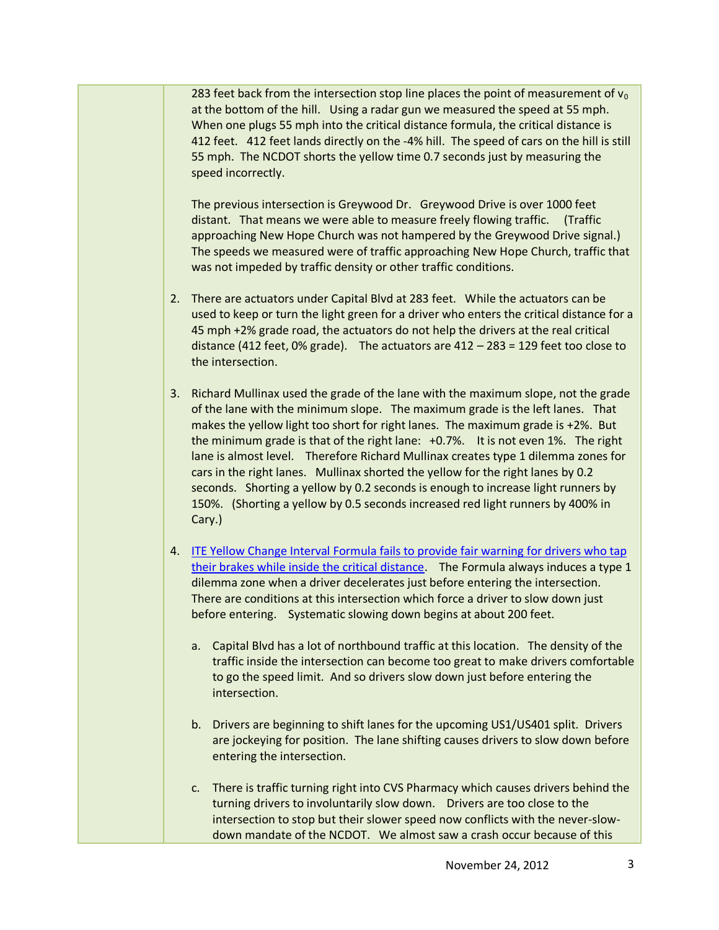283 feet back from the intersection stop line places the point of measurement of  $v_0$ at the bottom of the hill. Using a radar gun we measured the speed at 55 mph. When one plugs 55 mph into the critical distance formula, the critical distance is 412 feet. 412 feet lands directly on the -4% hill. The speed of cars on the hill is still 55 mph. The NCDOT shorts the yellow time 0.7 seconds just by measuring the speed incorrectly.

The previous intersection is Greywood Dr. Greywood Drive is over 1000 feet distant. That means we were able to measure freely flowing traffic. (Traffic approaching New Hope Church was not hampered by the Greywood Drive signal.) The speeds we measured were of traffic approaching New Hope Church, traffic that was not impeded by traffic density or other traffic conditions.

- 2. There are actuators under Capital Blvd at 283 feet. While the actuators can be used to keep or turn the light green for a driver who enters the critical distance for a 45 mph +2% grade road, the actuators do not help the drivers at the real critical distance (412 feet, 0% grade). The actuators are 412 – 283 = 129 feet too close to the intersection.
- 3. Richard Mullinax used the grade of the lane with the maximum slope, not the grade of the lane with the minimum slope. The maximum grade is the left lanes. That makes the yellow light too short for right lanes. The maximum grade is +2%. But the minimum grade is that of the right lane: +0.7%. It is not even 1%. The right lane is almost level. Therefore Richard Mullinax creates type 1 dilemma zones for cars in the right lanes. Mullinax shorted the yellow for the right lanes by 0.2 seconds. Shorting a yellow by 0.2 seconds is enough to increase light runners by 150%. (Shorting a yellow by 0.5 seconds increased red light runners by 400% in Cary.)
- 4. [ITE Yellow Change Interval Formula fails to provide fair warning](http://redlightrobber.com/red/links_pdf/Misapplied-Physics-Red-Light-Cameras.pdf) for drivers who tap [their brakes while inside the critical distance.](http://redlightrobber.com/red/links_pdf/Misapplied-Physics-Red-Light-Cameras.pdf) The Formula always induces a type 1 dilemma zone when a driver decelerates just before entering the intersection. There are conditions at this intersection which force a driver to slow down just before entering. Systematic slowing down begins at about 200 feet.
	- a. Capital Blvd has a lot of northbound traffic at this location. The density of the traffic inside the intersection can become too great to make drivers comfortable to go the speed limit. And so drivers slow down just before entering the intersection.
	- b. Drivers are beginning to shift lanes for the upcoming US1/US401 split. Drivers are jockeying for position. The lane shifting causes drivers to slow down before entering the intersection.
	- c. There is traffic turning right into CVS Pharmacy which causes drivers behind the turning drivers to involuntarily slow down. Drivers are too close to the intersection to stop but their slower speed now conflicts with the never-slowdown mandate of the NCDOT. We almost saw a crash occur because of this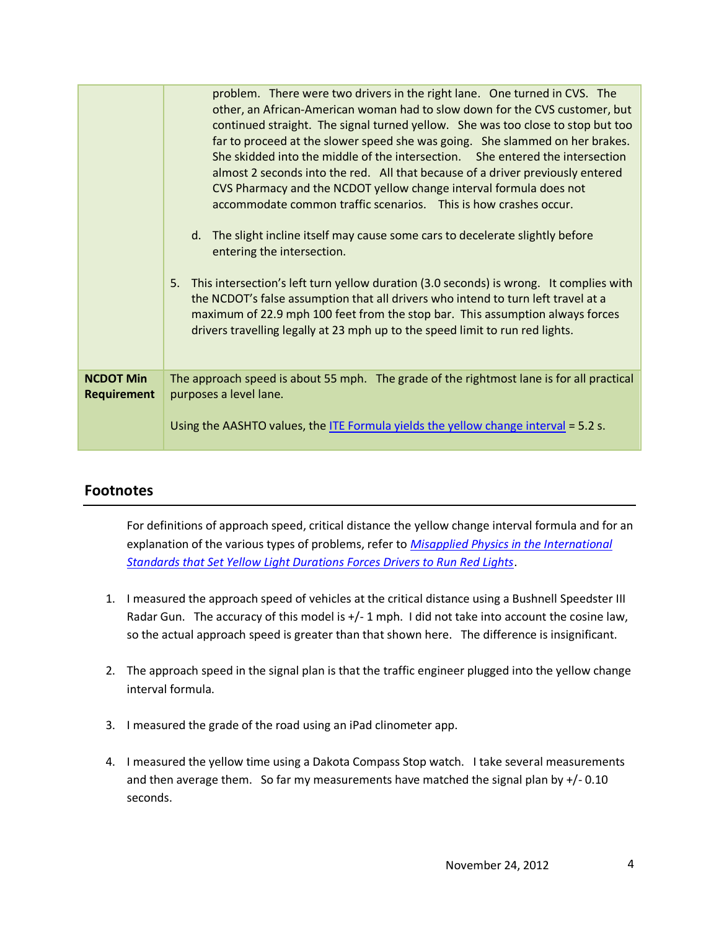|                                        | problem. There were two drivers in the right lane. One turned in CVS. The<br>other, an African-American woman had to slow down for the CVS customer, but<br>continued straight. The signal turned yellow. She was too close to stop but too<br>far to proceed at the slower speed she was going. She slammed on her brakes.<br>She skidded into the middle of the intersection. She entered the intersection<br>almost 2 seconds into the red. All that because of a driver previously entered<br>CVS Pharmacy and the NCDOT yellow change interval formula does not<br>accommodate common traffic scenarios. This is how crashes occur.<br>d. The slight incline itself may cause some cars to decelerate slightly before<br>entering the intersection.<br>This intersection's left turn yellow duration (3.0 seconds) is wrong. It complies with<br>5.<br>the NCDOT's false assumption that all drivers who intend to turn left travel at a<br>maximum of 22.9 mph 100 feet from the stop bar. This assumption always forces<br>drivers travelling legally at 23 mph up to the speed limit to run red lights. |
|----------------------------------------|-----------------------------------------------------------------------------------------------------------------------------------------------------------------------------------------------------------------------------------------------------------------------------------------------------------------------------------------------------------------------------------------------------------------------------------------------------------------------------------------------------------------------------------------------------------------------------------------------------------------------------------------------------------------------------------------------------------------------------------------------------------------------------------------------------------------------------------------------------------------------------------------------------------------------------------------------------------------------------------------------------------------------------------------------------------------------------------------------------------------|
|                                        |                                                                                                                                                                                                                                                                                                                                                                                                                                                                                                                                                                                                                                                                                                                                                                                                                                                                                                                                                                                                                                                                                                                 |
| <b>NCDOT Min</b><br><b>Requirement</b> | The approach speed is about 55 mph. The grade of the rightmost lane is for all practical<br>purposes a level lane.                                                                                                                                                                                                                                                                                                                                                                                                                                                                                                                                                                                                                                                                                                                                                                                                                                                                                                                                                                                              |
|                                        | Using the AASHTO values, the ITE Formula yields the yellow change interval = 5.2 s.                                                                                                                                                                                                                                                                                                                                                                                                                                                                                                                                                                                                                                                                                                                                                                                                                                                                                                                                                                                                                             |

## **Footnotes**

For definitions of approach speed, critical distance the yellow change interval formula and for an explanation of the various types of problems, refer to *[Misapplied Physics in the International](http://redlightrobber.com/red/links_pdf/Misapplied-Physics-Red-Light-Cameras.pdf) [Standards that Set Yellow Light Durations Forces Drivers to Run Red Lights](http://redlightrobber.com/red/links_pdf/Misapplied-Physics-Red-Light-Cameras.pdf)*.

- 1. I measured the approach speed of vehicles at the critical distance using a Bushnell Speedster III Radar Gun. The accuracy of this model is  $+/-1$  mph. I did not take into account the cosine law, so the actual approach speed is greater than that shown here. The difference is insignificant.
- 2. The approach speed in the signal plan is that the traffic engineer plugged into the yellow change interval formula.
- 3. I measured the grade of the road using an iPad clinometer app.
- 4. I measured the yellow time using a Dakota Compass Stop watch. I take several measurements and then average them. So far my measurements have matched the signal plan by  $+/-0.10$ seconds.